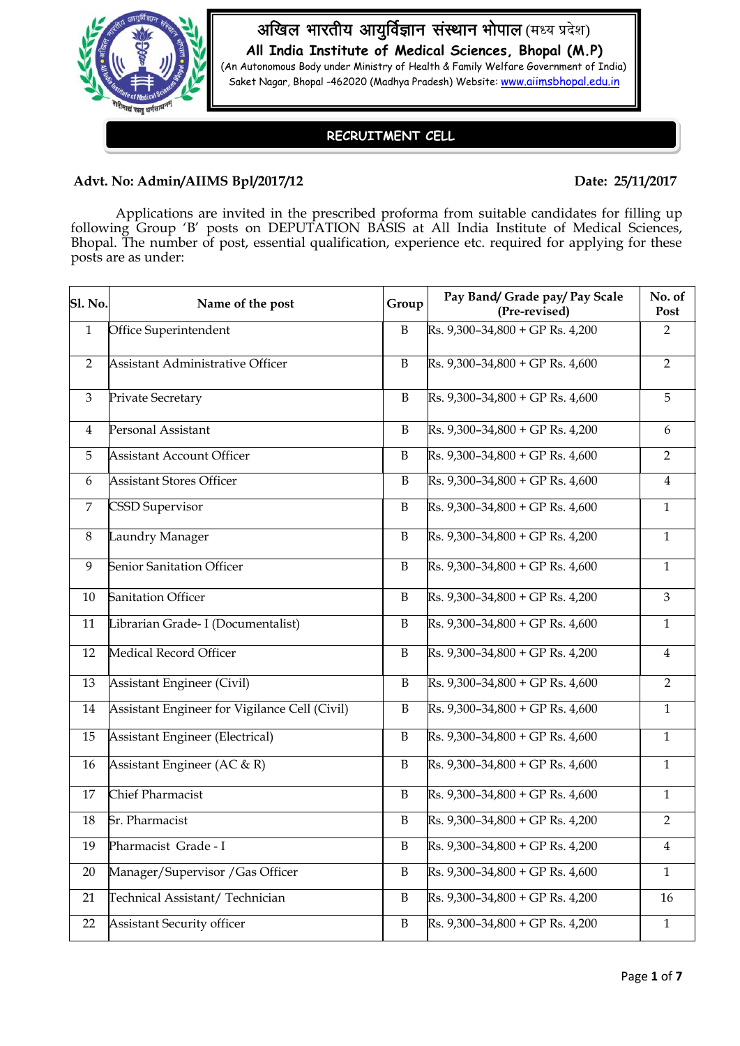

अखिल भारतीय आयुर्विज्ञान संस्थान भोपाल (मध्य प्रदेश)

**All India Institute of Medical Sciences, Bhopal (M.P)** (An Autonomous Body under Ministry of Health & Family Welfare Government of India)

Saket Nagar, Bhopal -462020 (Madhya Pradesh) Website: [www.aiimsbhopal.edu.in](http://www.aiimsbhopal.edu.in/)

## **RECRUITMENT CELL**

### Advt. No: Admin/AIIMS Bpl/2017/12 Date: 25/11/2017

Applications are invited in the prescribed proforma from suitable candidates for filling up following Group 'B' posts on DEPUTATION BASIS at All India Institute of Medical Sciences, Bhopal. The number of post, essential qualification, experience etc. required for applying for these posts are as under:

| <b>Sl. No.</b> | Name of the post                              | Group        | Pay Band/ Grade pay/ Pay Scale<br>(Pre-revised) | No. of<br>Post          |
|----------------|-----------------------------------------------|--------------|-------------------------------------------------|-------------------------|
| $\mathbf{1}$   | Office Superintendent                         | $\mathbf B$  | Rs. 9,300-34,800 + GP Rs. 4,200                 | $\overline{2}$          |
| $\overline{2}$ | Assistant Administrative Officer              | $\, {\bf B}$ | Rs. 9,300-34,800 + GP Rs. 4,600                 | $\overline{2}$          |
| $\mathfrak{Z}$ | Private Secretary                             | $\, {\bf B}$ | $Rs. 9,300-34,800 + GP Rs. 4,600$               | 5                       |
| $\overline{4}$ | Personal Assistant                            | $\, {\bf B}$ | Rs. 9,300-34,800 + GP Rs. 4,200                 | 6                       |
| 5              | <b>Assistant Account Officer</b>              | $\, {\bf B}$ | Rs. 9,300-34,800 + GP Rs. 4,600                 | $\overline{2}$          |
| 6              | <b>Assistant Stores Officer</b>               | $\, {\bf B}$ | Rs. 9,300-34,800 + GP Rs. 4,600                 | $\overline{4}$          |
| $\overline{7}$ | <b>CSSD Supervisor</b>                        | B            | Rs. 9,300-34,800 + GP Rs. 4,600                 | $\mathbf{1}$            |
| 8              | Laundry Manager                               | B            | Rs. 9,300-34,800 + GP Rs. 4,200                 | $\mathbf{1}$            |
| 9              | <b>Senior Sanitation Officer</b>              | B            | Rs. 9,300-34,800 + GP Rs. 4,600                 | $\mathbf{1}$            |
| $10\,$         | <b>Sanitation Officer</b>                     | $\, {\bf B}$ | Rs. 9,300-34,800 + GP Rs. 4,200                 | 3                       |
| 11             | Librarian Grade- I (Documentalist)            | $\, {\bf B}$ | Rs. 9,300-34,800 + GP Rs. 4,600                 | $\mathbf{1}$            |
| 12             | Medical Record Officer                        | $\, {\bf B}$ | Rs. 9,300-34,800 + GP Rs. 4,200                 | $\overline{4}$          |
| 13             | Assistant Engineer (Civil)                    | $\, {\bf B}$ | $Rs. 9,300-34,800 + GP Rs. 4,600$               | $\overline{2}$          |
| 14             | Assistant Engineer for Vigilance Cell (Civil) | $\, {\bf B}$ | $Rs. 9,300-34,800 + GP Rs. 4,600$               | $\mathbf{1}$            |
| 15             | <b>Assistant Engineer (Electrical)</b>        | B            | Rs. 9,300-34,800 + GP Rs. 4,600                 | $\mathbf{1}$            |
| 16             | Assistant Engineer (AC & R)                   | $\mathbf B$  | Rs. 9,300-34,800 + GP Rs. 4,600                 | $\mathbf{1}$            |
| 17             | Chief Pharmacist                              | $\mathbf B$  | Rs. $9,300-34,800 + GP$ Rs. $4,600$             | $\mathbf{1}$            |
| 18             | Sr. Pharmacist                                | $\, {\bf B}$ | Rs. 9,300-34,800 + GP Rs. 4,200                 | $\overline{2}$          |
| 19             | Pharmacist Grade - I                          | $\, {\bf B}$ | Rs. 9,300-34,800 + GP Rs. 4,200                 | $\overline{\mathbf{4}}$ |
| 20             | Manager/Supervisor / Gas Officer              | $\, {\bf B}$ | Rs. 9,300-34,800 + GP Rs. 4,600                 | $\mathbf{1}$            |
| 21             | Technical Assistant/Technician                | $\mathbf B$  | Rs. 9,300-34,800 + GP Rs. 4,200                 | 16                      |
| 22             | <b>Assistant Security officer</b>             | $\mathbf B$  | Rs. 9,300-34,800 + GP Rs. 4,200                 | $\mathbf{1}$            |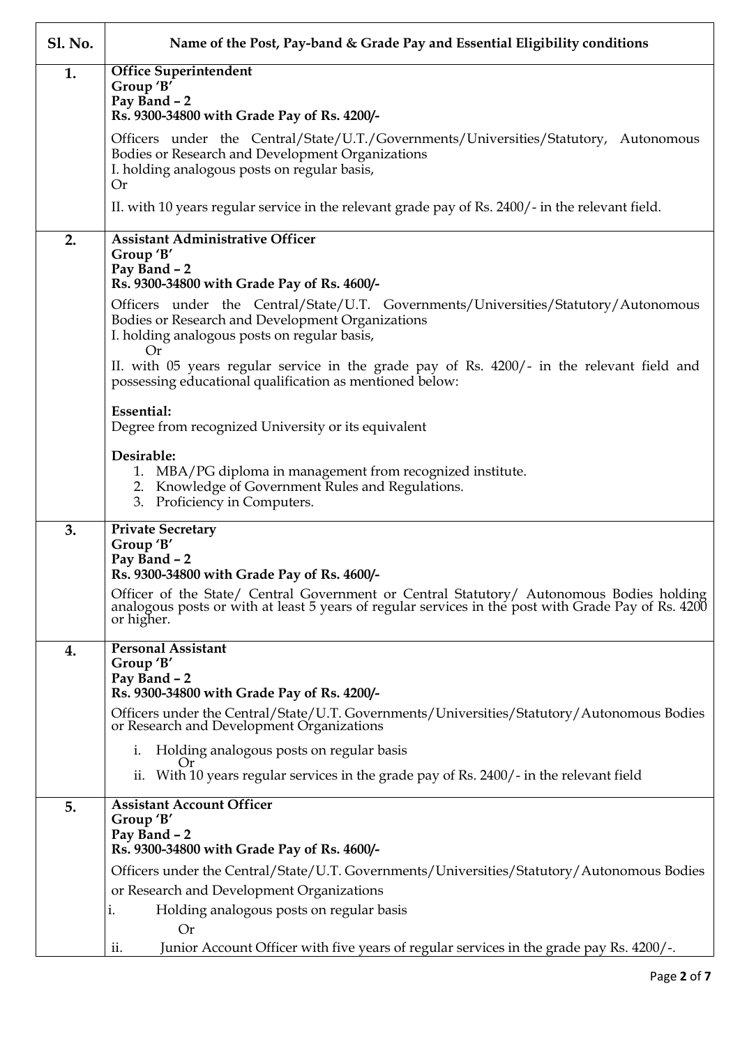| <b>Sl. No.</b> | Name of the Post, Pay-band & Grade Pay and Essential Eligibility conditions                                                                                                                                                                                                                       |
|----------------|---------------------------------------------------------------------------------------------------------------------------------------------------------------------------------------------------------------------------------------------------------------------------------------------------|
| 1.             | <b>Office Superintendent</b><br>Group 'B'<br>Pay Band - 2<br>Rs. 9300-34800 with Grade Pay of Rs. 4200/-                                                                                                                                                                                          |
|                | Officers under the Central/State/U.T./Governments/Universities/Statutory, Autonomous<br>Bodies or Research and Development Organizations<br>I. holding analogous posts on regular basis,<br>Or                                                                                                    |
|                | II. with 10 years regular service in the relevant grade pay of Rs. 2400/- in the relevant field.                                                                                                                                                                                                  |
| 2.             | <b>Assistant Administrative Officer</b><br>Group 'B'<br>Pay Band - 2<br>Rs. 9300-34800 with Grade Pay of Rs. 4600/-<br>Officers under the Central/State/U.T. Governments/Universities/Statutory/Autonomous<br>Bodies or Research and Development Organizations                                    |
|                | I. holding analogous posts on regular basis,<br>Or<br>II. with 05 years regular service in the grade pay of Rs. 4200/- in the relevant field and<br>possessing educational qualification as mentioned below:                                                                                      |
|                | <b>Essential:</b><br>Degree from recognized University or its equivalent                                                                                                                                                                                                                          |
|                | Desirable:<br>1. MBA/PG diploma in management from recognized institute.<br>2. Knowledge of Government Rules and Regulations.<br>3. Proficiency in Computers.                                                                                                                                     |
| 3.             | <b>Private Secretary</b><br>Group 'B'<br>Pay Band - 2<br>Rs. 9300-34800 with Grade Pay of Rs. 4600/-                                                                                                                                                                                              |
|                | Officer of the State/ Central Government or Central Statutory/ Autonomous Bodies holding<br>analogous posts or with at least 5 years of regular services in the post with Grade Pay of Rs. 4200<br>or higher.                                                                                     |
| 4.             | <b>Personal Assistant</b><br>Group 'B'<br>Pay Band - 2<br>Rs. 9300-34800 with Grade Pay of Rs. 4200/-                                                                                                                                                                                             |
|                | Officers under the Central/State/U.T. Governments/Universities/Statutory/Autonomous Bodies<br>or Research and Development Organizations                                                                                                                                                           |
|                | Holding analogous posts on regular basis<br>1.<br>$\mathbf{u}$<br>ii. With 10 years regular services in the grade pay of Rs. 2400/- in the relevant field                                                                                                                                         |
| 5.             | <b>Assistant Account Officer</b><br>Group 'B'<br>Pay Band - 2<br>Rs. 9300-34800 with Grade Pay of Rs. 4600/-                                                                                                                                                                                      |
|                | Officers under the Central/State/U.T. Governments/Universities/Statutory/Autonomous Bodies<br>or Research and Development Organizations<br>Holding analogous posts on regular basis<br>i.<br>Or<br>Junior Account Officer with five years of regular services in the grade pay Rs. 4200/-.<br>ii. |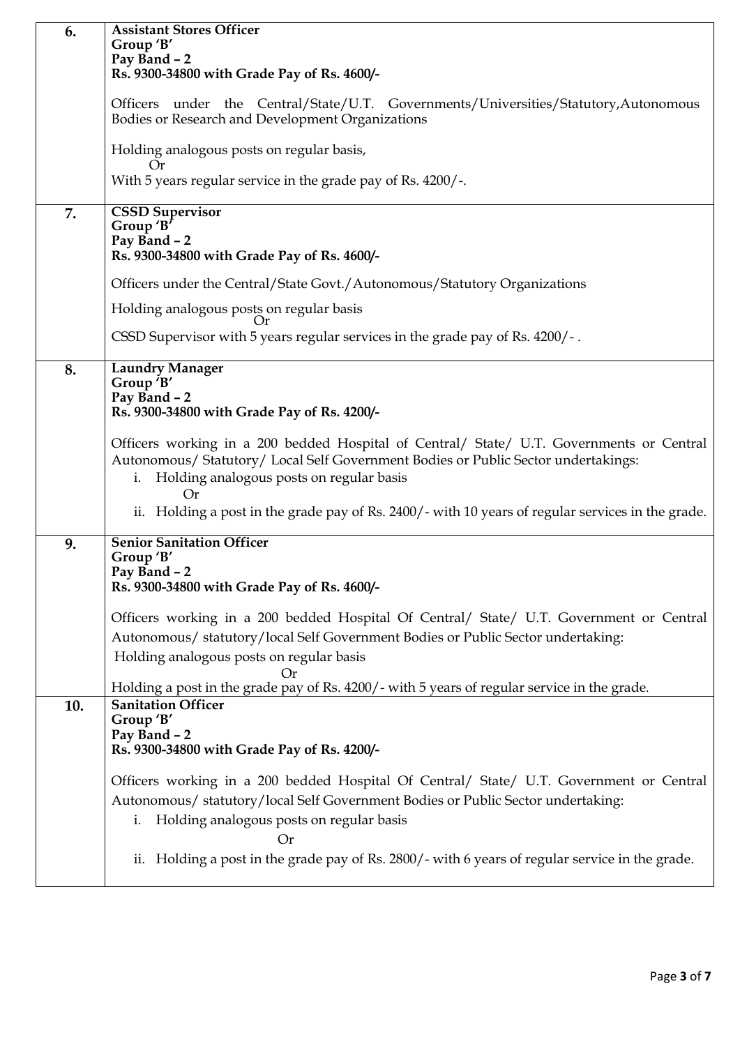| 6.  | <b>Assistant Stores Officer</b>                                                                   |
|-----|---------------------------------------------------------------------------------------------------|
|     | Group 'B'                                                                                         |
|     | Pay Band - 2                                                                                      |
|     | Rs. 9300-34800 with Grade Pay of Rs. 4600/-                                                       |
|     |                                                                                                   |
|     | Officers under the Central/State/U.T. Governments/Universities/Statutory,Autonomous               |
|     | Bodies or Research and Development Organizations                                                  |
|     |                                                                                                   |
|     | Holding analogous posts on regular basis,                                                         |
|     |                                                                                                   |
|     | <b>Or</b>                                                                                         |
|     | With 5 years regular service in the grade pay of Rs. 4200/-.                                      |
|     |                                                                                                   |
| 7.  | <b>CSSD Supervisor</b>                                                                            |
|     | Group 'B'                                                                                         |
|     | Pay Band - 2                                                                                      |
|     | Rs. 9300-34800 with Grade Pay of Rs. 4600/-                                                       |
|     |                                                                                                   |
|     | Officers under the Central/State Govt./Autonomous/Statutory Organizations                         |
|     |                                                                                                   |
|     | Holding analogous posts on regular basis                                                          |
|     |                                                                                                   |
|     | CSSD Supervisor with 5 years regular services in the grade pay of Rs. 4200/-.                     |
|     |                                                                                                   |
| 8.  | <b>Laundry Manager</b>                                                                            |
|     | Group 'B'                                                                                         |
|     | Pay Band - 2                                                                                      |
|     | Rs. 9300-34800 with Grade Pay of Rs. 4200/-                                                       |
|     |                                                                                                   |
|     |                                                                                                   |
|     | Officers working in a 200 bedded Hospital of Central/ State/ U.T. Governments or Central          |
|     | Autonomous/ Statutory/ Local Self Government Bodies or Public Sector undertakings:                |
|     | i. Holding analogous posts on regular basis                                                       |
|     | Or                                                                                                |
|     | ii. Holding a post in the grade pay of Rs. 2400/- with 10 years of regular services in the grade. |
|     |                                                                                                   |
|     | <b>Senior Sanitation Officer</b>                                                                  |
| 9.  |                                                                                                   |
|     | Group 'B'                                                                                         |
|     | Pav Band - 2                                                                                      |
|     | Rs. 9300-34800 with Grade Pay of Rs. 4600/-                                                       |
|     |                                                                                                   |
|     | Officers working in a 200 bedded Hospital Of Central/ State/ U.T. Government or Central           |
|     | Autonomous/ statutory/local Self Government Bodies or Public Sector undertaking:                  |
|     |                                                                                                   |
|     | Holding analogous posts on regular basis                                                          |
|     |                                                                                                   |
|     | Holding a post in the grade pay of Rs. 4200/- with 5 years of regular service in the grade.       |
| 10. | <b>Sanitation Officer</b>                                                                         |
|     | Group 'B'                                                                                         |
|     | Pay Band - 2                                                                                      |
|     | Rs. 9300-34800 with Grade Pay of Rs. 4200/-                                                       |
|     |                                                                                                   |
|     | Officers working in a 200 bedded Hospital Of Central/ State/ U.T. Government or Central           |
|     |                                                                                                   |
|     | Autonomous/ statutory/local Self Government Bodies or Public Sector undertaking:                  |
|     | Holding analogous posts on regular basis<br>i.                                                    |
|     |                                                                                                   |
|     | Or                                                                                                |
|     | ii. Holding a post in the grade pay of Rs. 2800/- with 6 years of regular service in the grade.   |
|     |                                                                                                   |
|     |                                                                                                   |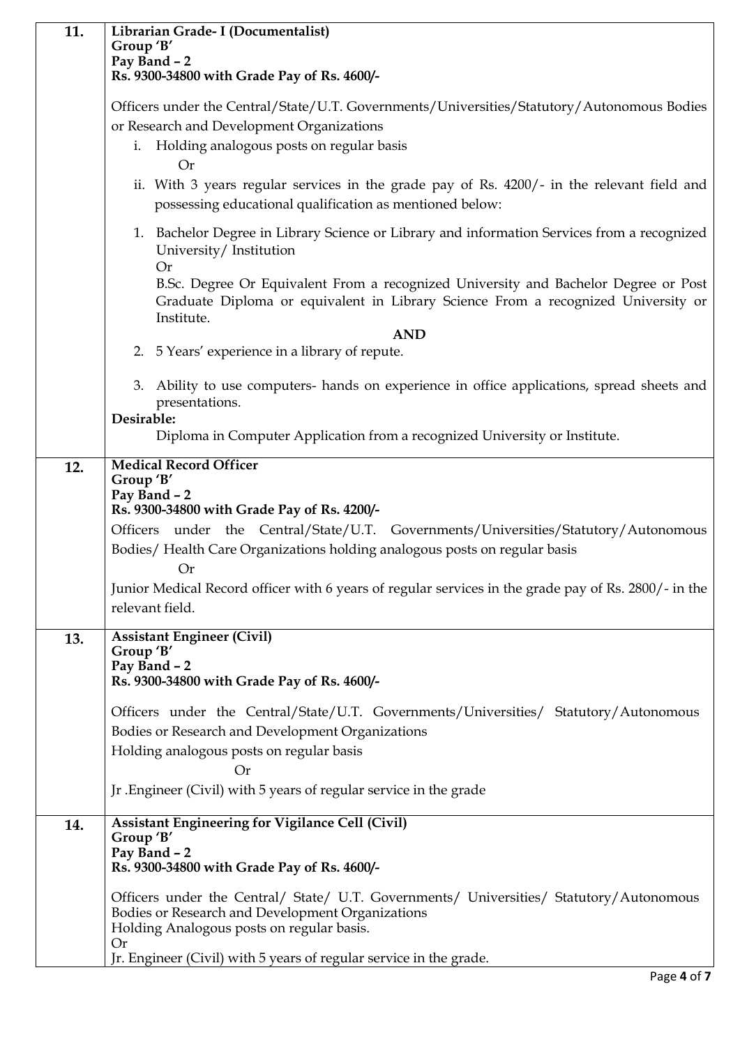| 11. | Librarian Grade- I (Documentalist)                                                                                                                                                                    |  |
|-----|-------------------------------------------------------------------------------------------------------------------------------------------------------------------------------------------------------|--|
|     | Group 'B'<br>Pay Band - 2                                                                                                                                                                             |  |
|     | Rs. 9300-34800 with Grade Pay of Rs. 4600/-                                                                                                                                                           |  |
|     | Officers under the Central/State/U.T. Governments/Universities/Statutory/Autonomous Bodies<br>or Research and Development Organizations                                                               |  |
|     | Holding analogous posts on regular basis<br>i.<br><b>Or</b>                                                                                                                                           |  |
|     | ii. With 3 years regular services in the grade pay of Rs. 4200/- in the relevant field and<br>possessing educational qualification as mentioned below:                                                |  |
|     | 1. Bachelor Degree in Library Science or Library and information Services from a recognized<br>University/Institution<br><b>Or</b>                                                                    |  |
|     | B.Sc. Degree Or Equivalent From a recognized University and Bachelor Degree or Post<br>Graduate Diploma or equivalent in Library Science From a recognized University or<br>Institute.                |  |
|     | <b>AND</b>                                                                                                                                                                                            |  |
|     | 2. 5 Years' experience in a library of repute.                                                                                                                                                        |  |
|     | 3. Ability to use computers- hands on experience in office applications, spread sheets and<br>presentations.                                                                                          |  |
|     | Desirable:<br>Diploma in Computer Application from a recognized University or Institute.                                                                                                              |  |
| 12. | <b>Medical Record Officer</b><br>Group 'B'<br>Pay Band - 2<br>Rs. 9300-34800 with Grade Pay of Rs. 4200/-                                                                                             |  |
|     | Officers under the Central/State/U.T. Governments/Universities/Statutory/Autonomous                                                                                                                   |  |
|     | Bodies/Health Care Organizations holding analogous posts on regular basis<br><b>Or</b>                                                                                                                |  |
|     | Junior Medical Record officer with 6 years of regular services in the grade pay of Rs. 2800/- in the                                                                                                  |  |
|     | relevant field.                                                                                                                                                                                       |  |
| 13. | <b>Assistant Engineer (Civil)</b>                                                                                                                                                                     |  |
|     | Group 'B'<br>Pay Band - 2                                                                                                                                                                             |  |
|     | Rs. 9300-34800 with Grade Pay of Rs. 4600/-                                                                                                                                                           |  |
|     | Officers under the Central/State/U.T. Governments/Universities/ Statutory/Autonomous<br>Bodies or Research and Development Organizations                                                              |  |
|     | Holding analogous posts on regular basis<br><b>Or</b>                                                                                                                                                 |  |
|     | Jr. Engineer (Civil) with 5 years of regular service in the grade                                                                                                                                     |  |
| 14. | Assistant Engineering for Vigilance Cell (Civil)                                                                                                                                                      |  |
|     | Group 'B'<br>Pay Band - 2<br>Rs. 9300-34800 with Grade Pay of Rs. 4600/-                                                                                                                              |  |
|     | Officers under the Central/ State/ U.T. Governments/ Universities/ Statutory/Autonomous<br>Bodies or Research and Development Organizations<br>Holding Analogous posts on regular basis.<br><b>Or</b> |  |
|     | Jr. Engineer (Civil) with 5 years of regular service in the grade.                                                                                                                                    |  |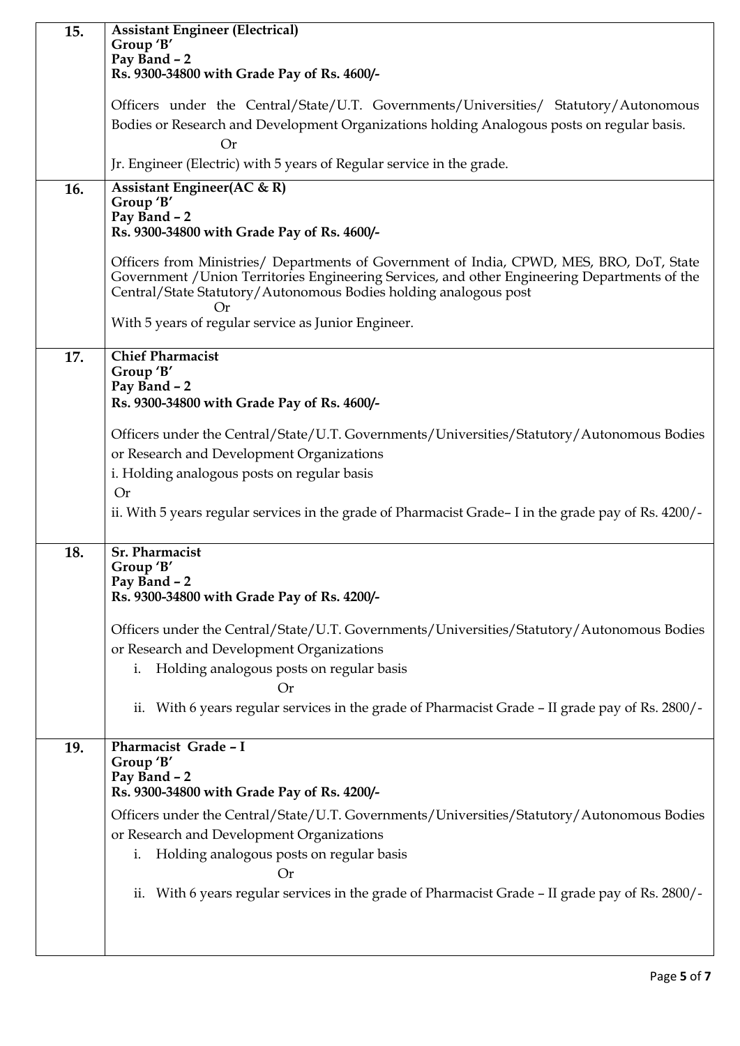| 15. | <b>Assistant Engineer (Electrical)</b>                                                              |  |
|-----|-----------------------------------------------------------------------------------------------------|--|
|     | Group 'B'                                                                                           |  |
|     | Pay Band - 2<br>Rs. 9300-34800 with Grade Pay of Rs. 4600/-                                         |  |
|     |                                                                                                     |  |
|     | Officers under the Central/State/U.T. Governments/Universities/ Statutory/Autonomous                |  |
|     | Bodies or Research and Development Organizations holding Analogous posts on regular basis.          |  |
|     | <b>Or</b>                                                                                           |  |
|     | Jr. Engineer (Electric) with 5 years of Regular service in the grade.                               |  |
| 16. | <b>Assistant Engineer(AC &amp; R)</b>                                                               |  |
|     | Group 'B'                                                                                           |  |
|     | Pay Band - 2                                                                                        |  |
|     | Rs. 9300-34800 with Grade Pay of Rs. 4600/-                                                         |  |
|     | Officers from Ministries/ Departments of Government of India, CPWD, MES, BRO, DoT, State            |  |
|     | Government / Union Territories Engineering Services, and other Engineering Departments of the       |  |
|     | Central/State Statutory/Autonomous Bodies holding analogous post                                    |  |
|     | With 5 years of regular service as Junior Engineer.                                                 |  |
|     |                                                                                                     |  |
| 17. | <b>Chief Pharmacist</b>                                                                             |  |
|     | Group 'B'                                                                                           |  |
|     | Pay Band - 2                                                                                        |  |
|     | Rs. 9300-34800 with Grade Pay of Rs. 4600/-                                                         |  |
|     | Officers under the Central/State/U.T. Governments/Universities/Statutory/Autonomous Bodies          |  |
|     | or Research and Development Organizations                                                           |  |
|     | i. Holding analogous posts on regular basis                                                         |  |
|     | <b>Or</b>                                                                                           |  |
|     | ii. With 5 years regular services in the grade of Pharmacist Grade-I in the grade pay of Rs. 4200/- |  |
|     |                                                                                                     |  |
| 18. | <b>Sr. Pharmacist</b>                                                                               |  |
|     | Group 'B'                                                                                           |  |
|     | Pay Band – 2                                                                                        |  |
|     | Rs. 9300-34800 with Grade Pay of Rs. 4200/-                                                         |  |
|     | Officers under the Central/State/U.T. Governments/Universities/Statutory/Autonomous Bodies          |  |
|     | or Research and Development Organizations                                                           |  |
|     | Holding analogous posts on regular basis<br>i.                                                      |  |
|     | <b>Or</b>                                                                                           |  |
|     | ii. With 6 years regular services in the grade of Pharmacist Grade - II grade pay of Rs. 2800/-     |  |
|     |                                                                                                     |  |
| 19. | Pharmacist Grade - I                                                                                |  |
|     | Group 'B'                                                                                           |  |
|     | Pay Band - 2                                                                                        |  |
|     | Rs. 9300-34800 with Grade Pay of Rs. 4200/-                                                         |  |
|     | Officers under the Central/State/U.T. Governments/Universities/Statutory/Autonomous Bodies          |  |
|     | or Research and Development Organizations                                                           |  |
|     | Holding analogous posts on regular basis<br>i.                                                      |  |
|     | Or                                                                                                  |  |
|     | With 6 years regular services in the grade of Pharmacist Grade - II grade pay of Rs. 2800/-<br>ii.  |  |
|     |                                                                                                     |  |
|     |                                                                                                     |  |
|     |                                                                                                     |  |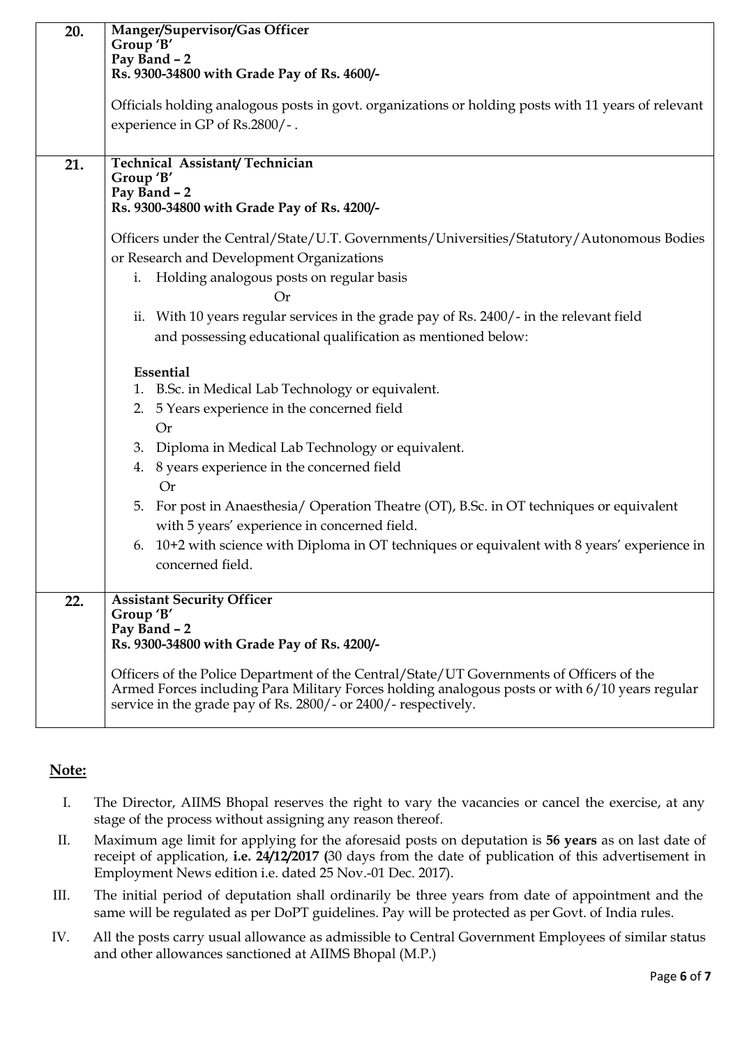| 20.<br>21. | Manger/Supervisor/Gas Officer<br>Group 'B'<br>Pay Band - 2<br>Rs. 9300-34800 with Grade Pay of Rs. 4600/-<br>Officials holding analogous posts in govt. organizations or holding posts with 11 years of relevant<br>experience in GP of Rs.2800/-.<br>Technical Assistant/Technician<br>Group 'B' |  |
|------------|---------------------------------------------------------------------------------------------------------------------------------------------------------------------------------------------------------------------------------------------------------------------------------------------------|--|
|            | Pay Band - 2                                                                                                                                                                                                                                                                                      |  |
|            | Rs. 9300-34800 with Grade Pay of Rs. 4200/-                                                                                                                                                                                                                                                       |  |
|            | Officers under the Central/State/U.T. Governments/Universities/Statutory/Autonomous Bodies                                                                                                                                                                                                        |  |
|            | or Research and Development Organizations                                                                                                                                                                                                                                                         |  |
|            | Holding analogous posts on regular basis<br>i.<br><b>Or</b>                                                                                                                                                                                                                                       |  |
|            | ii. With 10 years regular services in the grade pay of Rs. 2400/- in the relevant field                                                                                                                                                                                                           |  |
|            | and possessing educational qualification as mentioned below:                                                                                                                                                                                                                                      |  |
|            | Essential                                                                                                                                                                                                                                                                                         |  |
|            | 1. B.Sc. in Medical Lab Technology or equivalent.                                                                                                                                                                                                                                                 |  |
|            | 2. 5 Years experience in the concerned field<br><b>Or</b>                                                                                                                                                                                                                                         |  |
|            | 3. Diploma in Medical Lab Technology or equivalent.                                                                                                                                                                                                                                               |  |
|            | 4. 8 years experience in the concerned field                                                                                                                                                                                                                                                      |  |
|            | <b>Or</b>                                                                                                                                                                                                                                                                                         |  |
|            | 5. For post in Anaesthesia/ Operation Theatre (OT), B.Sc. in OT techniques or equivalent                                                                                                                                                                                                          |  |
|            | with 5 years' experience in concerned field.                                                                                                                                                                                                                                                      |  |
|            | 10+2 with science with Diploma in OT techniques or equivalent with 8 years' experience in<br>6.<br>concerned field.                                                                                                                                                                               |  |
|            |                                                                                                                                                                                                                                                                                                   |  |
| 22.        | <b>Assistant Security Officer</b><br>Group 'B'<br>Pay Band - 2<br>Rs. 9300-34800 with Grade Pay of Rs. 4200/-                                                                                                                                                                                     |  |
|            | Officers of the Police Department of the Central/State/UT Governments of Officers of the<br>Armed Forces including Para Military Forces holding analogous posts or with 6/10 years regular<br>service in the grade pay of Rs. 2800/- or 2400/- respectively.                                      |  |

# **Note:**

- I. The Director, AIIMS Bhopal reserves the right to vary the vacancies or cancel the exercise, at any stage of the process without assigning any reason thereof.
- II. Maximum age limit for applying for the aforesaid posts on deputation is **56 years** as on last date of receipt of application, **i.e. 24/12/2017 (**30 days from the date of publication of this advertisement in Employment News edition i.e. dated 25 Nov.-01 Dec. 2017).
- III. The initial period of deputation shall ordinarily be three years from date of appointment and the same will be regulated as per DoPT guidelines. Pay will be protected as per Govt. of India rules.
- IV. All the posts carry usual allowance as admissible to Central Government Employees of similar status and other allowances sanctioned at AIIMS Bhopal (M.P.)